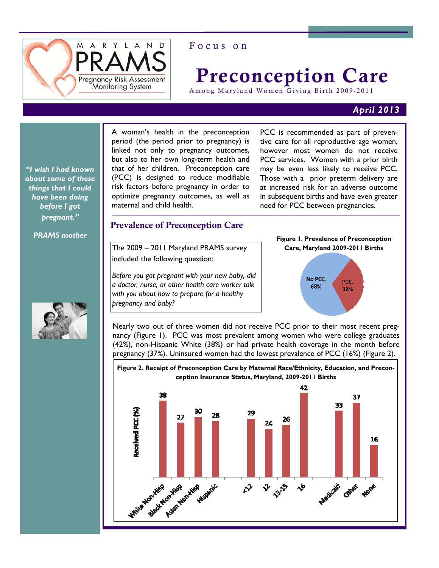

# Focus on

# Preconception Care

Among Maryland Women Giving Birth 2009-2011

#### *April 2013*

*"I wish I had known about some of these things that I could have been doing before I got pregnant."* 

*PRAMS mother* 

A woman's health in the preconception period (the period prior to pregnancy) is linked not only to pregnancy outcomes, but also to her own long-term health and that of her children. Preconception care (PCC) is designed to reduce modifiable risk factors before pregnancy in order to optimize pregnancy outcomes, as well as maternal and child health.

PCC is recommended as part of preventive care for all reproductive age women, however most women do not receive PCC services. Women with a prior birth may be even less likely to receive PCC. Those with a prior preterm delivery are at increased risk for an adverse outcome in subsequent births and have even greater need for PCC between pregnancies.

#### Prevalence of Preconception Care

The 2009 – 2011 Maryland PRAMS survey included the following question:

*Before you got pregnant with your new baby, did a doctor, nurse, or other health care worker talk with you about how to prepare for a healthy pregnancy and baby?* 

### **Figure 1. Prevalence of Preconception Care, Maryland 2009-2011 Births**



Nearly two out of three women did not receive PCC prior to their most recent pregnancy (Figure 1). PCC was most prevalent among women who were college graduates (42%), non-Hispanic White (38%) or had private health coverage in the month before pregnancy (37%). Uninsured women had the lowest prevalence of PCC (16%) (Figure 2).



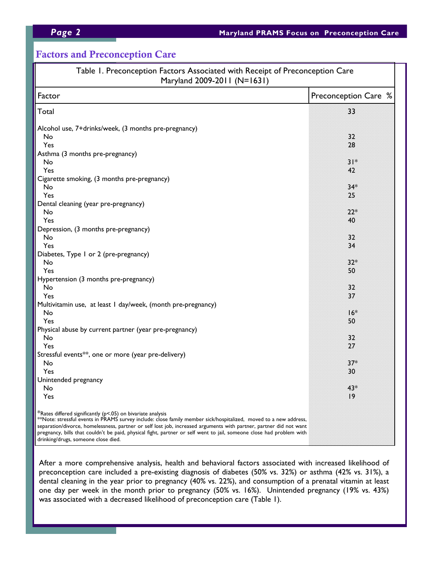# Factors and Preconception Care

| Table 1. Preconception Factors Associated with Receipt of Preconception Care<br>Maryland 2009-2011 (N=1631)                                                                                                                                                                                                                                                                                                                    |                      |
|--------------------------------------------------------------------------------------------------------------------------------------------------------------------------------------------------------------------------------------------------------------------------------------------------------------------------------------------------------------------------------------------------------------------------------|----------------------|
| Factor                                                                                                                                                                                                                                                                                                                                                                                                                         | Preconception Care % |
| Total                                                                                                                                                                                                                                                                                                                                                                                                                          | 33                   |
| Alcohol use, 7+drinks/week, (3 months pre-pregnancy)                                                                                                                                                                                                                                                                                                                                                                           |                      |
| No                                                                                                                                                                                                                                                                                                                                                                                                                             | 32                   |
| Yes                                                                                                                                                                                                                                                                                                                                                                                                                            | 28                   |
| Asthma (3 months pre-pregnancy)                                                                                                                                                                                                                                                                                                                                                                                                |                      |
| No                                                                                                                                                                                                                                                                                                                                                                                                                             | $31*$                |
| Yes                                                                                                                                                                                                                                                                                                                                                                                                                            | 42                   |
| Cigarette smoking, (3 months pre-pregnancy)                                                                                                                                                                                                                                                                                                                                                                                    |                      |
| No                                                                                                                                                                                                                                                                                                                                                                                                                             | $34*$                |
| Yes                                                                                                                                                                                                                                                                                                                                                                                                                            | 25                   |
| Dental cleaning (year pre-pregnancy)                                                                                                                                                                                                                                                                                                                                                                                           |                      |
| No                                                                                                                                                                                                                                                                                                                                                                                                                             | $22*$                |
| Yes                                                                                                                                                                                                                                                                                                                                                                                                                            | 40                   |
| Depression, (3 months pre-pregnancy)                                                                                                                                                                                                                                                                                                                                                                                           |                      |
| No                                                                                                                                                                                                                                                                                                                                                                                                                             | 32                   |
| Yes                                                                                                                                                                                                                                                                                                                                                                                                                            | 34                   |
| Diabetes, Type I or 2 (pre-pregnancy)                                                                                                                                                                                                                                                                                                                                                                                          |                      |
| No                                                                                                                                                                                                                                                                                                                                                                                                                             | $32*$                |
| Yes                                                                                                                                                                                                                                                                                                                                                                                                                            | 50                   |
| Hypertension (3 months pre-pregnancy)                                                                                                                                                                                                                                                                                                                                                                                          |                      |
| No                                                                                                                                                                                                                                                                                                                                                                                                                             | 32                   |
| Yes                                                                                                                                                                                                                                                                                                                                                                                                                            | 37                   |
| Multivitamin use, at least I day/week, (month pre-pregnancy)                                                                                                                                                                                                                                                                                                                                                                   |                      |
| No                                                                                                                                                                                                                                                                                                                                                                                                                             | $16*$                |
| Yes                                                                                                                                                                                                                                                                                                                                                                                                                            | 50                   |
| Physical abuse by current partner (year pre-pregnancy)                                                                                                                                                                                                                                                                                                                                                                         |                      |
| No                                                                                                                                                                                                                                                                                                                                                                                                                             | 32                   |
| Yes                                                                                                                                                                                                                                                                                                                                                                                                                            | 27                   |
| Stressful events**, one or more (year pre-delivery)                                                                                                                                                                                                                                                                                                                                                                            |                      |
| No                                                                                                                                                                                                                                                                                                                                                                                                                             | $37*$                |
| Yes                                                                                                                                                                                                                                                                                                                                                                                                                            | 30                   |
| Unintended pregnancy                                                                                                                                                                                                                                                                                                                                                                                                           |                      |
| No                                                                                                                                                                                                                                                                                                                                                                                                                             | $43*$                |
| Yes                                                                                                                                                                                                                                                                                                                                                                                                                            | 9                    |
| *Rates differed significantly (p<.05) on bivariate analysis<br>**Note: stressful events in PRAMS survey include: close family member sick/hospitalized,  moved to a new address,<br>separation/divorce, homelessness, partner or self lost job, increased arguments with partner, partner did not want<br>pregnancy, bills that couldn't be paid, physical fight, partner or self went to jail, someone close had problem with |                      |
| drinking/drugs, someone close died.                                                                                                                                                                                                                                                                                                                                                                                            |                      |

After a more comprehensive analysis, health and behavioral factors associated with increased likelihood of preconception care included a pre-existing diagnosis of diabetes (50% vs. 32%) or asthma (42% vs. 31%), a dental cleaning in the year prior to pregnancy (40% vs. 22%), and consumption of a prenatal vitamin at least one day per week in the month prior to pregnancy (50% vs. 16%). Unintended pregnancy (19% vs. 43%) was associated with a decreased likelihood of preconception care (Table 1).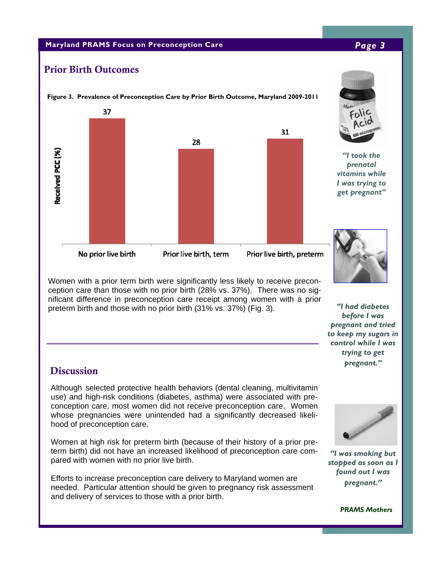#### **Maryland PRAMS Focus on Preconception Care** *Page 3*

# Prior Birth Outcomes



Women with a prior term birth were significantly less likely to receive preconception care than those with no prior birth (28% vs. 37%). There was no significant difference in preconception care receipt among women with a prior preterm birth and those with no prior birth (31% vs. 37%) (Fig. 3).

# **Discussion**

Although selected protective health behaviors (dental cleaning, multivitamin use) and high-risk conditions (diabetes, asthma) were associated with preconception care, most women did not receive preconception care. Women whose pregnancies were unintended had a significantly decreased likelihood of preconception care.

Women at high risk for preterm birth (because of their history of a prior preterm birth) did not have an increased likelihood of preconception care compared with women with no prior live birth.

Efforts to increase preconception care delivery to Maryland women are needed. Particular attention should be given to pregnancy risk assessment and delivery of services to those with a prior birth.





*"I was smoking but stopped as soon as I found out I was pregnant."* 

 *PRAMS Mothers*